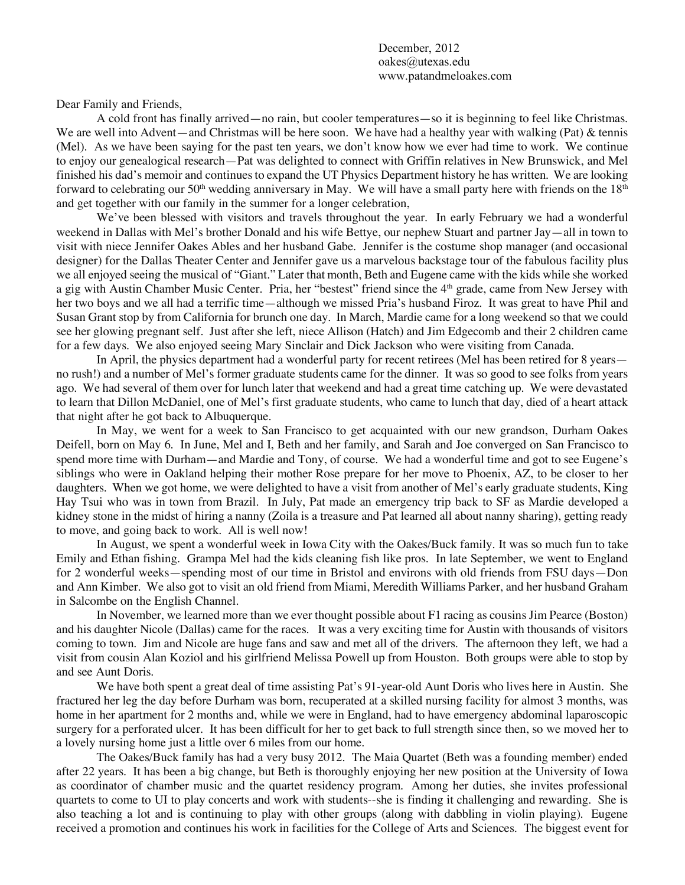December, 2012 oakes@utexas.edu www.patandmeloakes.com

Dear Family and Friends,

A cold front has finally arrived—no rain, but cooler temperatures—so it is beginning to feel like Christmas. We are well into Advent—and Christmas will be here soon. We have had a healthy year with walking (Pat) & tennis (Mel). As we have been saying for the past ten years, we don't know how we ever had time to work. We continue to enjoy our genealogical research—Pat was delighted to connect with Griffin relatives in New Brunswick, and Mel finished his dad's memoir and continues to expand the UT Physics Department history he has written. We are looking forward to celebrating our 50<sup>th</sup> wedding anniversary in May. We will have a small party here with friends on the  $18<sup>th</sup>$ and get together with our family in the summer for a longer celebration,

We've been blessed with visitors and travels throughout the year. In early February we had a wonderful weekend in Dallas with Mel's brother Donald and his wife Bettye, our nephew Stuart and partner Jay—all in town to visit with niece Jennifer Oakes Ables and her husband Gabe. Jennifer is the costume shop manager (and occasional designer) for the Dallas Theater Center and Jennifer gave us a marvelous backstage tour of the fabulous facility plus we all enjoyed seeing the musical of "Giant." Later that month, Beth and Eugene came with the kids while she worked a gig with Austin Chamber Music Center. Pria, her "bestest" friend since the 4th grade, came from New Jersey with her two boys and we all had a terrific time—although we missed Pria's husband Firoz. It was great to have Phil and Susan Grant stop by from California for brunch one day. In March, Mardie came for a long weekend so that we could see her glowing pregnant self. Just after she left, niece Allison (Hatch) and Jim Edgecomb and their 2 children came for a few days. We also enjoyed seeing Mary Sinclair and Dick Jackson who were visiting from Canada.

In April, the physics department had a wonderful party for recent retirees (Mel has been retired for 8 years no rush!) and a number of Mel's former graduate students came for the dinner. It was so good to see folks from years ago. We had several of them over for lunch later that weekend and had a great time catching up. We were devastated to learn that Dillon McDaniel, one of Mel's first graduate students, who came to lunch that day, died of a heart attack that night after he got back to Albuquerque.

In May, we went for a week to San Francisco to get acquainted with our new grandson, Durham Oakes Deifell, born on May 6. In June, Mel and I, Beth and her family, and Sarah and Joe converged on San Francisco to spend more time with Durham—and Mardie and Tony, of course. We had a wonderful time and got to see Eugene's siblings who were in Oakland helping their mother Rose prepare for her move to Phoenix, AZ, to be closer to her daughters. When we got home, we were delighted to have a visit from another of Mel's early graduate students, King Hay Tsui who was in town from Brazil. In July, Pat made an emergency trip back to SF as Mardie developed a kidney stone in the midst of hiring a nanny (Zoila is a treasure and Pat learned all about nanny sharing), getting ready to move, and going back to work. All is well now!

In August, we spent a wonderful week in Iowa City with the Oakes/Buck family. It was so much fun to take Emily and Ethan fishing. Grampa Mel had the kids cleaning fish like pros. In late September, we went to England for 2 wonderful weeks—spending most of our time in Bristol and environs with old friends from FSU days—Don and Ann Kimber. We also got to visit an old friend from Miami, Meredith Williams Parker, and her husband Graham in Salcombe on the English Channel.

In November, we learned more than we ever thought possible about F1 racing as cousins Jim Pearce (Boston) and his daughter Nicole (Dallas) came for the races. It was a very exciting time for Austin with thousands of visitors coming to town. Jim and Nicole are huge fans and saw and met all of the drivers. The afternoon they left, we had a visit from cousin Alan Koziol and his girlfriend Melissa Powell up from Houston. Both groups were able to stop by and see Aunt Doris.

We have both spent a great deal of time assisting Pat's 91-year-old Aunt Doris who lives here in Austin. She fractured her leg the day before Durham was born, recuperated at a skilled nursing facility for almost 3 months, was home in her apartment for 2 months and, while we were in England, had to have emergency abdominal laparoscopic surgery for a perforated ulcer. It has been difficult for her to get back to full strength since then, so we moved her to a lovely nursing home just a little over 6 miles from our home.

The Oakes/Buck family has had a very busy 2012. The Maia Quartet (Beth was a founding member) ended after 22 years. It has been a big change, but Beth is thoroughly enjoying her new position at the University of Iowa as coordinator of chamber music and the quartet residency program. Among her duties, she invites professional quartets to come to UI to play concerts and work with students--she is finding it challenging and rewarding. She is also teaching a lot and is continuing to play with other groups (along with dabbling in violin playing). Eugene received a promotion and continues his work in facilities for the College of Arts and Sciences. The biggest event for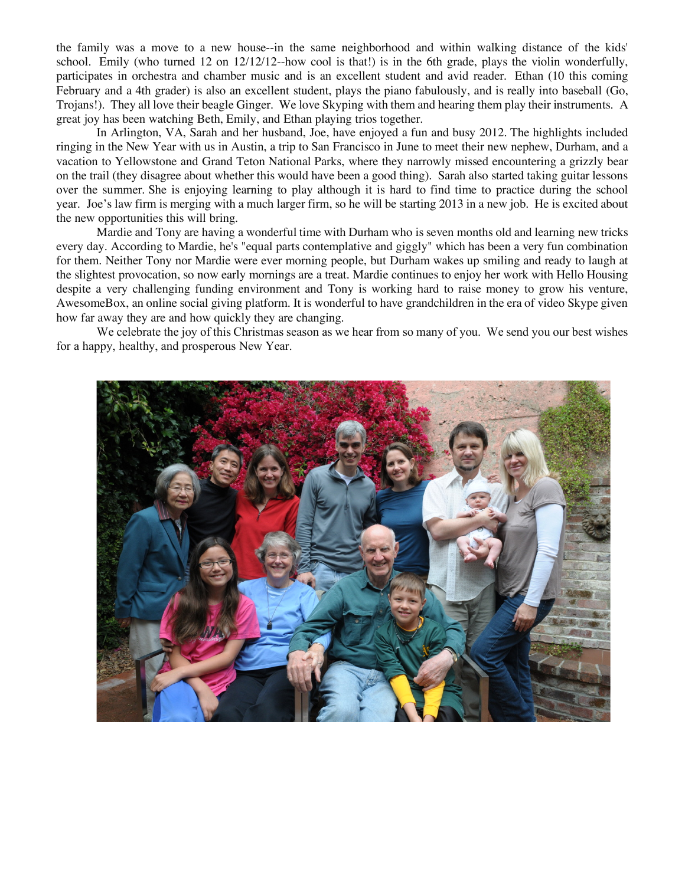the family was a move to a new house--in the same neighborhood and within walking distance of the kids' school. Emily (who turned 12 on 12/12/12--how cool is that!) is in the 6th grade, plays the violin wonderfully, participates in orchestra and chamber music and is an excellent student and avid reader. Ethan (10 this coming February and a 4th grader) is also an excellent student, plays the piano fabulously, and is really into baseball (Go, Trojans!). They all love their beagle Ginger. We love Skyping with them and hearing them play their instruments. A great joy has been watching Beth, Emily, and Ethan playing trios together.

In Arlington, VA, Sarah and her husband, Joe, have enjoyed a fun and busy 2012. The highlights included ringing in the New Year with us in Austin, a trip to San Francisco in June to meet their new nephew, Durham, and a vacation to Yellowstone and Grand Teton National Parks, where they narrowly missed encountering a grizzly bear on the trail (they disagree about whether this would have been a good thing). Sarah also started taking guitar lessons over the summer. She is enjoying learning to play although it is hard to find time to practice during the school year. Joe's law firm is merging with a much larger firm, so he will be starting 2013 in a new job. He is excited about the new opportunities this will bring.

Mardie and Tony are having a wonderful time with Durham who is seven months old and learning new tricks every day. According to Mardie, he's "equal parts contemplative and giggly" which has been a very fun combination for them. Neither Tony nor Mardie were ever morning people, but Durham wakes up smiling and ready to laugh at the slightest provocation, so now early mornings are a treat. Mardie continues to enjoy her work with Hello Housing despite a very challenging funding environment and Tony is working hard to raise money to grow his venture, AwesomeBox, an online social giving platform. It is wonderful to have grandchildren in the era of video Skype given how far away they are and how quickly they are changing.

We celebrate the joy of this Christmas season as we hear from so many of you. We send you our best wishes for a happy, healthy, and prosperous New Year.